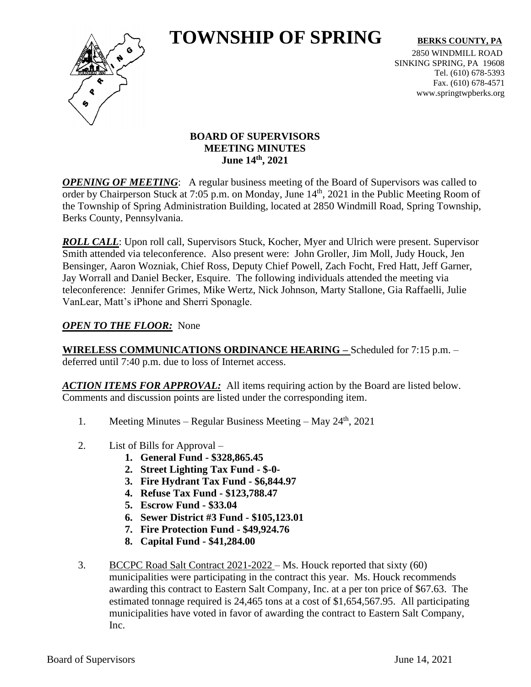# **TOWNSHIP OF SPRING** BERKS COUNTY, PA



2850 WINDMILL ROAD SINKING SPRING, PA 19608 Tel. (610) 678-5393 Fax. (610) 678-4571 www.springtwpberks.org

# **BOARD OF SUPERVISORS MEETING MINUTES June 14th , 2021**

*OPENING OF MEETING*: A regular business meeting of the Board of Supervisors was called to order by Chairperson Stuck at 7:05 p.m. on Monday, June 14<sup>th</sup>, 2021 in the Public Meeting Room of the Township of Spring Administration Building, located at 2850 Windmill Road, Spring Township, Berks County, Pennsylvania.

**ROLL CALL**: Upon roll call, Supervisors Stuck, Kocher, Myer and Ulrich were present. Supervisor Smith attended via teleconference. Also present were: John Groller, Jim Moll, Judy Houck, Jen Bensinger, Aaron Wozniak, Chief Ross, Deputy Chief Powell, Zach Focht, Fred Hatt, Jeff Garner, Jay Worrall and Daniel Becker, Esquire. The following individuals attended the meeting via teleconference: Jennifer Grimes, Mike Wertz, Nick Johnson, Marty Stallone, Gia Raffaelli, Julie VanLear, Matt's iPhone and Sherri Sponagle.

# *OPEN TO THE FLOOR:* None

**WIRELESS COMMUNICATIONS ORDINANCE HEARING –** Scheduled for 7:15 p.m. – deferred until 7:40 p.m. due to loss of Internet access.

*ACTION ITEMS FOR APPROVAL:* All items requiring action by the Board are listed below. Comments and discussion points are listed under the corresponding item.

- 1. Meeting Minutes Regular Business Meeting May 24<sup>th</sup>, 2021
- 2. List of Bills for Approval
	- **1. General Fund - \$328,865.45**
	- **2. Street Lighting Tax Fund - \$-0-**
	- **3. Fire Hydrant Tax Fund - \$6,844.97**
	- **4. Refuse Tax Fund - \$123,788.47**
	- **5. Escrow Fund - \$33.04**
	- **6. Sewer District #3 Fund - \$105,123.01**
	- **7. Fire Protection Fund - \$49,924.76**
	- **8. Capital Fund - \$41,284.00**
- 3. BCCPC Road Salt Contract 2021-2022 Ms. Houck reported that sixty (60) municipalities were participating in the contract this year. Ms. Houck recommends awarding this contract to Eastern Salt Company, Inc. at a per ton price of \$67.63. The estimated tonnage required is 24,465 tons at a cost of \$1,654,567.95. All participating municipalities have voted in favor of awarding the contract to Eastern Salt Company, Inc.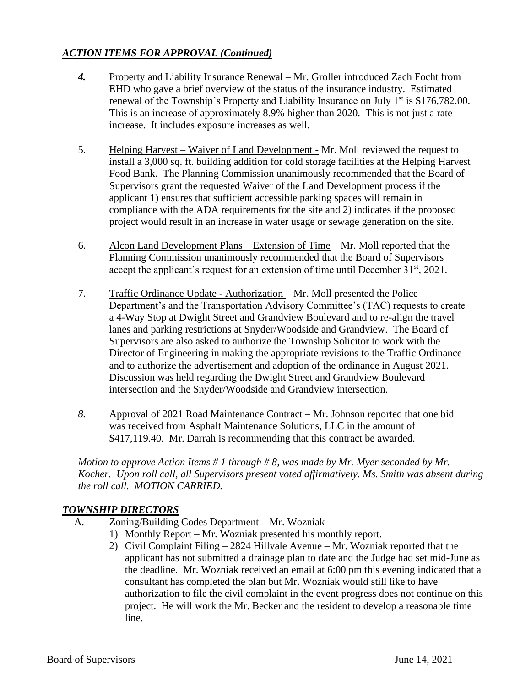# *ACTION ITEMS FOR APPROVAL (Continued)*

- *4.* Property and Liability Insurance Renewal Mr. Groller introduced Zach Focht from EHD who gave a brief overview of the status of the insurance industry. Estimated renewal of the Township's Property and Liability Insurance on July  $1<sup>st</sup>$  is \$176,782.00. This is an increase of approximately 8.9% higher than 2020. This is not just a rate increase. It includes exposure increases as well.
- 5. Helping Harvest Waiver of Land Development Mr. Moll reviewed the request to install a 3,000 sq. ft. building addition for cold storage facilities at the Helping Harvest Food Bank. The Planning Commission unanimously recommended that the Board of Supervisors grant the requested Waiver of the Land Development process if the applicant 1) ensures that sufficient accessible parking spaces will remain in compliance with the ADA requirements for the site and 2) indicates if the proposed project would result in an increase in water usage or sewage generation on the site.
- 6. Alcon Land Development Plans Extension of Time Mr. Moll reported that the Planning Commission unanimously recommended that the Board of Supervisors accept the applicant's request for an extension of time until December  $31<sup>st</sup>$ , 2021.
- 7. Traffic Ordinance Update Authorization Mr. Moll presented the Police Department's and the Transportation Advisory Committee's (TAC) requests to create a 4-Way Stop at Dwight Street and Grandview Boulevard and to re-align the travel lanes and parking restrictions at Snyder/Woodside and Grandview. The Board of Supervisors are also asked to authorize the Township Solicitor to work with the Director of Engineering in making the appropriate revisions to the Traffic Ordinance and to authorize the advertisement and adoption of the ordinance in August 2021. Discussion was held regarding the Dwight Street and Grandview Boulevard intersection and the Snyder/Woodside and Grandview intersection.
- *8.* Approval of 2021 Road Maintenance Contract Mr. Johnson reported that one bid was received from Asphalt Maintenance Solutions, LLC in the amount of \$417,119.40. Mr. Darrah is recommending that this contract be awarded.

*Motion to approve Action Items # 1 through # 8, was made by Mr. Myer seconded by Mr. Kocher. Upon roll call, all Supervisors present voted affirmatively. Ms. Smith was absent during the roll call. MOTION CARRIED.*

## *TOWNSHIP DIRECTORS*

- A. Zoning/Building Codes Department Mr. Wozniak
	- 1) Monthly Report Mr. Wozniak presented his monthly report.
	- 2) Civil Complaint Filing 2824 Hillvale Avenue Mr. Wozniak reported that the applicant has not submitted a drainage plan to date and the Judge had set mid-June as the deadline. Mr. Wozniak received an email at 6:00 pm this evening indicated that a consultant has completed the plan but Mr. Wozniak would still like to have authorization to file the civil complaint in the event progress does not continue on this project. He will work the Mr. Becker and the resident to develop a reasonable time line.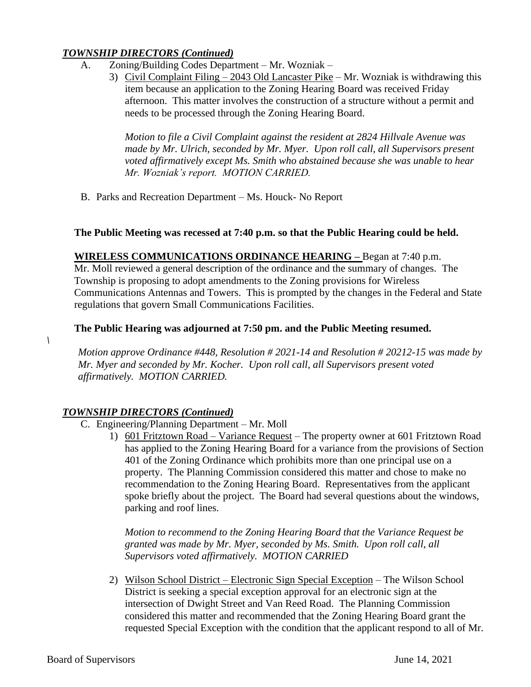## *TOWNSHIP DIRECTORS (Continued)*

- A. Zoning/Building Codes Department Mr. Wozniak
	- 3) Civil Complaint Filing 2043 Old Lancaster Pike Mr. Wozniak is withdrawing this item because an application to the Zoning Hearing Board was received Friday afternoon. This matter involves the construction of a structure without a permit and needs to be processed through the Zoning Hearing Board.

*Motion to file a Civil Complaint against the resident at 2824 Hillvale Avenue was made by Mr. Ulrich, seconded by Mr. Myer. Upon roll call, all Supervisors present voted affirmatively except Ms. Smith who abstained because she was unable to hear Mr. Wozniak's report. MOTION CARRIED.*

B. Parks and Recreation Department – Ms. Houck- No Report

# **The Public Meeting was recessed at 7:40 p.m. so that the Public Hearing could be held.**

**WIRELESS COMMUNICATIONS ORDINANCE HEARING –** Began at 7:40 p.m. Mr. Moll reviewed a general description of the ordinance and the summary of changes. The Township is proposing to adopt amendments to the Zoning provisions for Wireless Communications Antennas and Towers. This is prompted by the changes in the Federal and State regulations that govern Small Communications Facilities.

# **The Public Hearing was adjourned at 7:50 pm. and the Public Meeting resumed.**

*Motion approve Ordinance #448, Resolution # 2021-14 and Resolution # 20212-15 was made by Mr. Myer and seconded by Mr. Kocher. Upon roll call, all Supervisors present voted affirmatively. MOTION CARRIED.*

# *TOWNSHIP DIRECTORS (Continued)*

- C. Engineering/Planning Department Mr. Moll
	- 1) 601 Fritztown Road Variance Request The property owner at 601 Fritztown Road has applied to the Zoning Hearing Board for a variance from the provisions of Section 401 of the Zoning Ordinance which prohibits more than one principal use on a property. The Planning Commission considered this matter and chose to make no recommendation to the Zoning Hearing Board. Representatives from the applicant spoke briefly about the project. The Board had several questions about the windows, parking and roof lines.

*Motion to recommend to the Zoning Hearing Board that the Variance Request be granted was made by Mr. Myer, seconded by Ms. Smith. Upon roll call, all Supervisors voted affirmatively. MOTION CARRIED*

2) Wilson School District – Electronic Sign Special Exception – The Wilson School District is seeking a special exception approval for an electronic sign at the intersection of Dwight Street and Van Reed Road. The Planning Commission considered this matter and recommended that the Zoning Hearing Board grant the requested Special Exception with the condition that the applicant respond to all of Mr.

*\*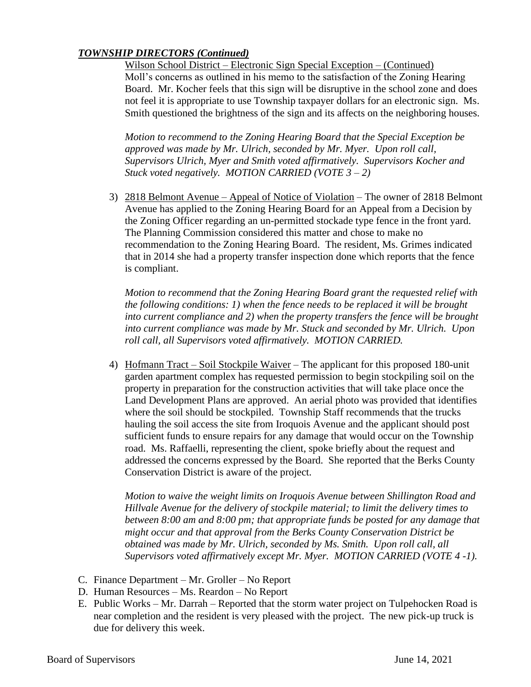# *TOWNSHIP DIRECTORS (Continued)*

Wilson School District – Electronic Sign Special Exception – (Continued) Moll's concerns as outlined in his memo to the satisfaction of the Zoning Hearing Board. Mr. Kocher feels that this sign will be disruptive in the school zone and does not feel it is appropriate to use Township taxpayer dollars for an electronic sign. Ms. Smith questioned the brightness of the sign and its affects on the neighboring houses.

*Motion to recommend to the Zoning Hearing Board that the Special Exception be approved was made by Mr. Ulrich, seconded by Mr. Myer. Upon roll call, Supervisors Ulrich, Myer and Smith voted affirmatively. Supervisors Kocher and Stuck voted negatively. MOTION CARRIED (VOTE 3 – 2)*

3) 2818 Belmont Avenue – Appeal of Notice of Violation – The owner of 2818 Belmont Avenue has applied to the Zoning Hearing Board for an Appeal from a Decision by the Zoning Officer regarding an un-permitted stockade type fence in the front yard. The Planning Commission considered this matter and chose to make no recommendation to the Zoning Hearing Board. The resident, Ms. Grimes indicated that in 2014 she had a property transfer inspection done which reports that the fence is compliant.

*Motion to recommend that the Zoning Hearing Board grant the requested relief with the following conditions: 1) when the fence needs to be replaced it will be brought into current compliance and 2) when the property transfers the fence will be brought into current compliance was made by Mr. Stuck and seconded by Mr. Ulrich. Upon roll call, all Supervisors voted affirmatively. MOTION CARRIED.*

4) Hofmann Tract – Soil Stockpile Waiver – The applicant for this proposed 180-unit garden apartment complex has requested permission to begin stockpiling soil on the property in preparation for the construction activities that will take place once the Land Development Plans are approved. An aerial photo was provided that identifies where the soil should be stockpiled. Township Staff recommends that the trucks hauling the soil access the site from Iroquois Avenue and the applicant should post sufficient funds to ensure repairs for any damage that would occur on the Township road. Ms. Raffaelli, representing the client, spoke briefly about the request and addressed the concerns expressed by the Board. She reported that the Berks County Conservation District is aware of the project.

*Motion to waive the weight limits on Iroquois Avenue between Shillington Road and Hillvale Avenue for the delivery of stockpile material; to limit the delivery times to between 8:00 am and 8:00 pm; that appropriate funds be posted for any damage that might occur and that approval from the Berks County Conservation District be obtained was made by Mr. Ulrich, seconded by Ms. Smith. Upon roll call, all Supervisors voted affirmatively except Mr. Myer. MOTION CARRIED (VOTE 4 -1).*

- C. Finance Department Mr. Groller No Report
- D. Human Resources Ms. Reardon No Report
- E. Public Works Mr. Darrah Reported that the storm water project on Tulpehocken Road is near completion and the resident is very pleased with the project. The new pick-up truck is due for delivery this week.